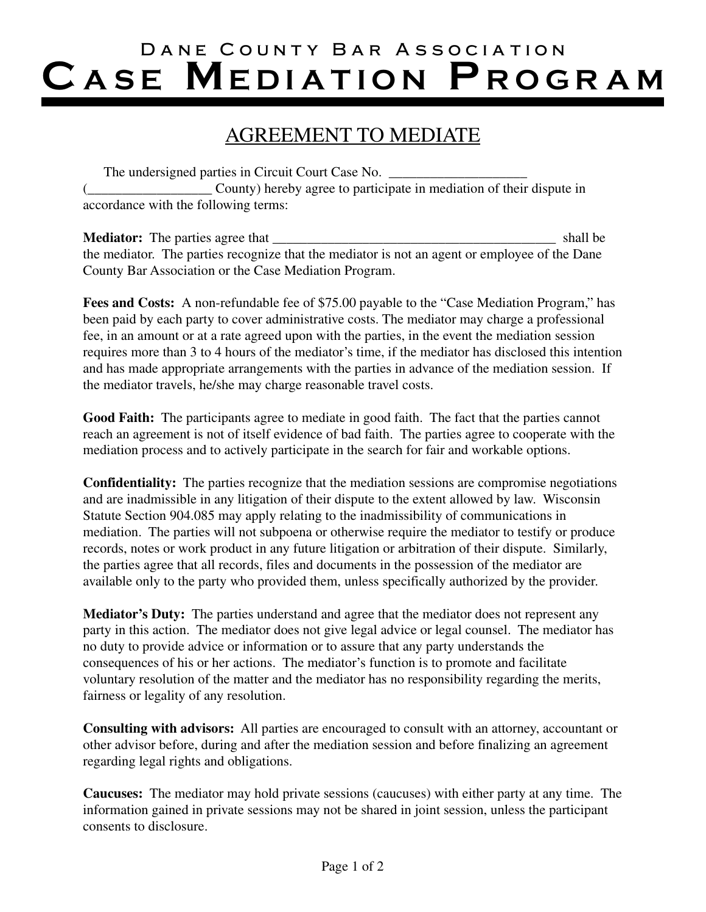## Dane County Bar Association CASE MEDIATION PROGRAM

## AGREEMENT TO MEDIATE

| The undersigned parties in Circuit Court Case No.                    |
|----------------------------------------------------------------------|
| County) hereby agree to participate in mediation of their dispute in |
| accordance with the following terms:                                 |

| <b>Mediator:</b> The parties agree that                                                       | shall be |
|-----------------------------------------------------------------------------------------------|----------|
| the mediator. The parties recognize that the mediator is not an agent or employee of the Dane |          |
| County Bar Association or the Case Mediation Program.                                         |          |

Fees and Costs: A non-refundable fee of \$75.00 payable to the "Case Mediation Program," has been paid by each party to cover administrative costs. The mediator may charge a professional fee, in an amount or at a rate agreed upon with the parties, in the event the mediation session requires more than 3 to 4 hours of the mediator's time, if the mediator has disclosed this intention and has made appropriate arrangements with the parties in advance of the mediation session. If the mediator travels, he/she may charge reasonable travel costs.

**Good Faith:** The participants agree to mediate in good faith. The fact that the parties cannot reach an agreement is not of itself evidence of bad faith. The parties agree to cooperate with the mediation process and to actively participate in the search for fair and workable options.

**Confidentiality:** The parties recognize that the mediation sessions are compromise negotiations and are inadmissible in any litigation of their dispute to the extent allowed by law. Wisconsin Statute Section 904.085 may apply relating to the inadmissibility of communications in mediation. The parties will not subpoena or otherwise require the mediator to testify or produce records, notes or work product in any future litigation or arbitration of their dispute. Similarly, the parties agree that all records, files and documents in the possession of the mediator are available only to the party who provided them, unless specifically authorized by the provider.

**Mediator's Duty:** The parties understand and agree that the mediator does not represent any party in this action. The mediator does not give legal advice or legal counsel. The mediator has no duty to provide advice or information or to assure that any party understands the consequences of his or her actions. The mediator's function is to promote and facilitate voluntary resolution of the matter and the mediator has no responsibility regarding the merits, fairness or legality of any resolution.

**Consulting with advisors:** All parties are encouraged to consult with an attorney, accountant or other advisor before, during and after the mediation session and before finalizing an agreement regarding legal rights and obligations.

**Caucuses:** The mediator may hold private sessions (caucuses) with either party at any time. The information gained in private sessions may not be shared in joint session, unless the participant consents to disclosure.